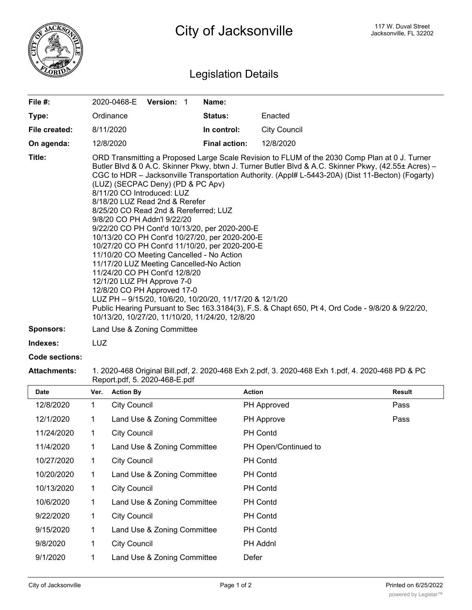

## Legislation Details

| File $#$ :       | 2020-0468-E                                                                                                                                                                                                                                                                                                                                                                                                                                                                                                                                                                                                                                                                                                                                                                                                                                                                                                                                                                                       | <b>Version: 1</b> |  | Name:                |                     |  |
|------------------|---------------------------------------------------------------------------------------------------------------------------------------------------------------------------------------------------------------------------------------------------------------------------------------------------------------------------------------------------------------------------------------------------------------------------------------------------------------------------------------------------------------------------------------------------------------------------------------------------------------------------------------------------------------------------------------------------------------------------------------------------------------------------------------------------------------------------------------------------------------------------------------------------------------------------------------------------------------------------------------------------|-------------------|--|----------------------|---------------------|--|
| Type:            | Ordinance                                                                                                                                                                                                                                                                                                                                                                                                                                                                                                                                                                                                                                                                                                                                                                                                                                                                                                                                                                                         |                   |  | <b>Status:</b>       | Enacted             |  |
| File created:    | 8/11/2020                                                                                                                                                                                                                                                                                                                                                                                                                                                                                                                                                                                                                                                                                                                                                                                                                                                                                                                                                                                         |                   |  | In control:          | <b>City Council</b> |  |
| On agenda:       | 12/8/2020                                                                                                                                                                                                                                                                                                                                                                                                                                                                                                                                                                                                                                                                                                                                                                                                                                                                                                                                                                                         |                   |  | <b>Final action:</b> | 12/8/2020           |  |
| Title:           | ORD Transmitting a Proposed Large Scale Revision to FLUM of the 2030 Comp Plan at 0 J. Turner<br>Butler Blvd & 0 A.C. Skinner Pkwy, btwn J. Turner Butler Blvd & A.C. Skinner Pkwy, (42.55± Acres) -<br>CGC to HDR - Jacksonville Transportation Authority. (Appl# L-5443-20A) (Dist 11-Becton) (Fogarty)<br>(LUZ) (SECPAC Deny) (PD & PC Apv)<br>8/11/20 CO Introduced: LUZ<br>8/18/20 LUZ Read 2nd & Rerefer<br>8/25/20 CO Read 2nd & Rereferred; LUZ<br>9/8/20 CO PH Addn'l 9/22/20<br>9/22/20 CO PH Cont'd 10/13/20, per 2020-200-E<br>10/13/20 CO PH Cont'd 10/27/20, per 2020-200-E<br>10/27/20 CO PH Cont'd 11/10/20, per 2020-200-E<br>11/10/20 CO Meeting Cancelled - No Action<br>11/17/20 LUZ Meeting Cancelled-No Action<br>11/24/20 CO PH Cont'd 12/8/20<br>12/1/20 LUZ PH Approve 7-0<br>12/8/20 CO PH Approved 17-0<br>LUZ PH - 9/15/20, 10/6/20, 10/20/20, 11/17/20 & 12/1/20<br>Public Hearing Pursuant to Sec 163.3184(3), F.S. & Chapt 650, Pt 4, Ord Code - 9/8/20 & 9/22/20, |                   |  |                      |                     |  |
| <b>Sponsors:</b> | Land Use & Zoning Committee                                                                                                                                                                                                                                                                                                                                                                                                                                                                                                                                                                                                                                                                                                                                                                                                                                                                                                                                                                       |                   |  |                      |                     |  |
| Indexes:         | LUZ                                                                                                                                                                                                                                                                                                                                                                                                                                                                                                                                                                                                                                                                                                                                                                                                                                                                                                                                                                                               |                   |  |                      |                     |  |

## **Code sections:**

**Attachments:** 1. 2020-468 Original Bill.pdf, 2. 2020-468 Exh 2.pdf, 3. 2020-468 Exh 1.pdf, 4. 2020-468 PD & PC Report.pdf, 5. 2020-468-E.pdf

| <b>Date</b> | Ver. | <b>Action By</b>            | <b>Action</b>        | <b>Result</b> |
|-------------|------|-----------------------------|----------------------|---------------|
| 12/8/2020   | 1    | <b>City Council</b>         | PH Approved          | Pass          |
| 12/1/2020   | 1    | Land Use & Zoning Committee | PH Approve           | Pass          |
| 11/24/2020  | 1    | <b>City Council</b>         | <b>PH Contd</b>      |               |
| 11/4/2020   | 1    | Land Use & Zoning Committee | PH Open/Continued to |               |
| 10/27/2020  | 1    | <b>City Council</b>         | <b>PH Contd</b>      |               |
| 10/20/2020  | 1    | Land Use & Zoning Committee | <b>PH Contd</b>      |               |
| 10/13/2020  | 1    | <b>City Council</b>         | <b>PH Contd</b>      |               |
| 10/6/2020   | 1    | Land Use & Zoning Committee | <b>PH Contd</b>      |               |
| 9/22/2020   | 1    | <b>City Council</b>         | <b>PH Contd</b>      |               |
| 9/15/2020   | 1    | Land Use & Zoning Committee | <b>PH Contd</b>      |               |
| 9/8/2020    | 1    | <b>City Council</b>         | PH Addnl             |               |
| 9/1/2020    |      | Land Use & Zoning Committee | Defer                |               |